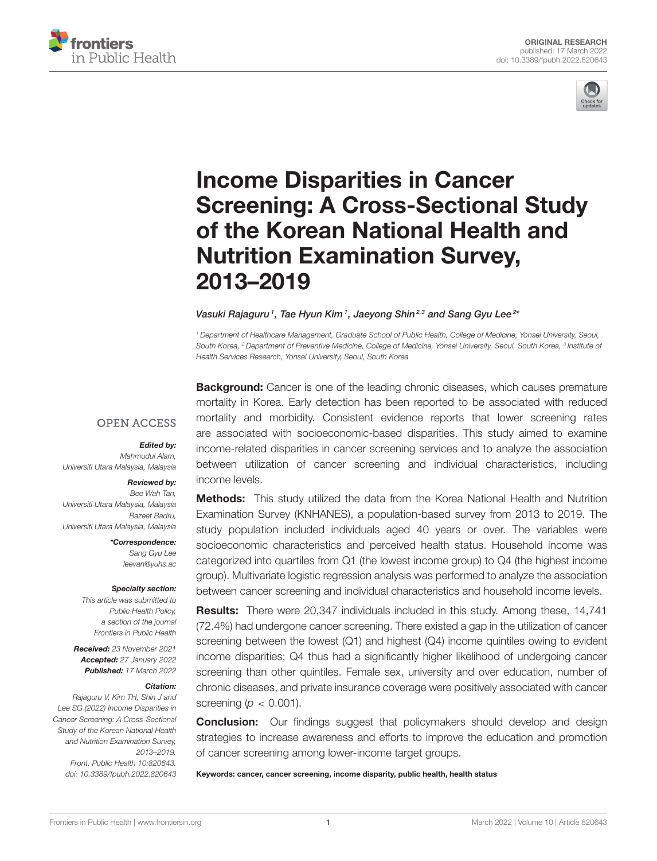



# Income Disparities in Cancer [Screening: A Cross-Sectional Study](https://www.frontiersin.org/articles/10.3389/fpubh.2022.820643/full) of the Korean National Health and Nutrition Examination Survey, 2013–2019

#### Vasuki Rajaguru<sup>1</sup>, Tae Hyun Kim<sup>1</sup>, Jaeyong Shin<sup>2,3</sup> and Sang Gyu Lee<sup>2\*</sup>

*<sup>1</sup> Department of Healthcare Management, Graduate School of Public Health, College of Medicine, Yonsei University, Seoul, South Korea, <sup>2</sup> Department of Preventive Medicine, College of Medicine, Yonsei University, Seoul, South Korea, <sup>3</sup> Institute of Health Services Research, Yonsei University, Seoul, South Korea*

**Background:** Cancer is one of the leading chronic diseases, which causes premature mortality in Korea. Early detection has been reported to be associated with reduced mortality and morbidity. Consistent evidence reports that lower screening rates are associated with socioeconomic-based disparities. This study aimed to examine income-related disparities in cancer screening services and to analyze the association between utilization of cancer screening and individual characteristics, including income levels.

#### **OPEN ACCESS**

#### Edited by:

*Mahmudul Alam, Universiti Utara Malaysia, Malaysia*

#### Reviewed by:

*Bee Wah Tan, Universiti Utara Malaysia, Malaysia Bazeet Badru, Universiti Utara Malaysia, Malaysia*

> \*Correspondence: *Sang Gyu Lee [leevan@yuhs.ac](mailto:leevan@yuhs.ac)*

#### Specialty section:

*This article was submitted to Public Health Policy, a section of the journal Frontiers in Public Health*

Received: *23 November 2021* Accepted: *27 January 2022* Published: *17 March 2022*

#### Citation:

*Rajaguru V, Kim TH, Shin J and Lee SG (2022) Income Disparities in Cancer Screening: A Cross-Sectional Study of the Korean National Health and Nutrition Examination Survey, 2013–2019. Front. Public Health 10:820643. doi: [10.3389/fpubh.2022.820643](https://doi.org/10.3389/fpubh.2022.820643)*

**Methods:** This study utilized the data from the Korea National Health and Nutrition Examination Survey (KNHANES), a population-based survey from 2013 to 2019. The study population included individuals aged 40 years or over. The variables were socioeconomic characteristics and perceived health status. Household income was categorized into quartiles from Q1 (the lowest income group) to Q4 (the highest income group). Multivariate logistic regression analysis was performed to analyze the association between cancer screening and individual characteristics and household income levels.

Results: There were 20,347 individuals included in this study. Among these, 14,741 (72.4%) had undergone cancer screening. There existed a gap in the utilization of cancer screening between the lowest (Q1) and highest (Q4) income quintiles owing to evident income disparities; Q4 thus had a significantly higher likelihood of undergoing cancer screening than other quintiles. Female sex, university and over education, number of chronic diseases, and private insurance coverage were positively associated with cancer screening ( $p < 0.001$ ).

**Conclusion:** Our findings suggest that policymakers should develop and design strategies to increase awareness and efforts to improve the education and promotion of cancer screening among lower-income target groups.

Keywords: cancer, cancer screening, income disparity, public health, health status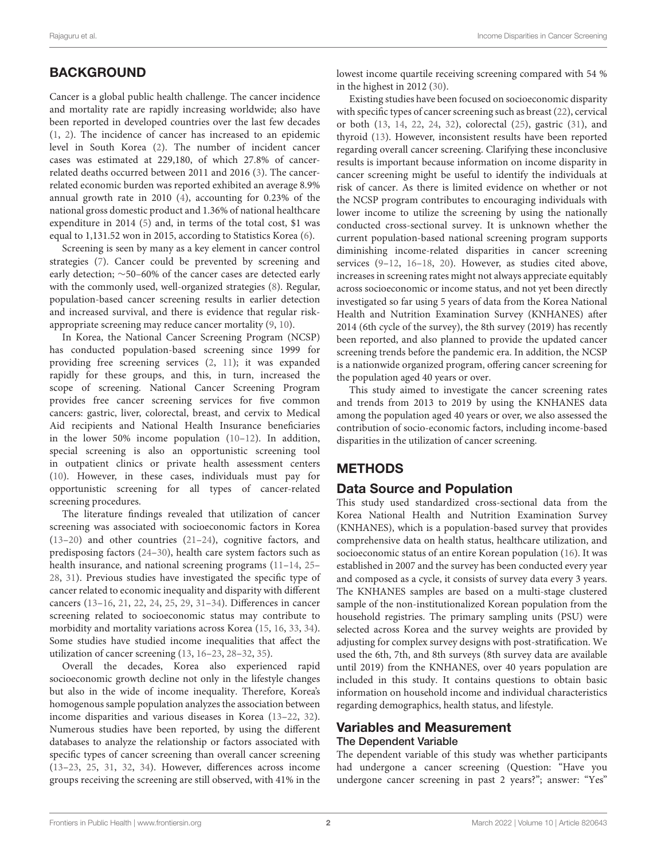# **BACKGROUND**

Cancer is a global public health challenge. The cancer incidence and mortality rate are rapidly increasing worldwide; also have been reported in developed countries over the last few decades [\(1,](#page-9-0) [2\)](#page-9-1). The incidence of cancer has increased to an epidemic level in South Korea [\(2\)](#page-9-1). The number of incident cancer cases was estimated at 229,180, of which 27.8% of cancerrelated deaths occurred between 2011 and 2016 [\(3\)](#page-9-2). The cancerrelated economic burden was reported exhibited an average 8.9% annual growth rate in 2010 [\(4\)](#page-9-3), accounting for 0.23% of the national gross domestic product and 1.36% of national healthcare expenditure in 2014 [\(5\)](#page-9-4) and, in terms of the total cost, \$1 was equal to 1,131.52 won in 2015, according to Statistics Korea [\(6\)](#page-9-5).

Screening is seen by many as a key element in cancer control strategies [\(7\)](#page-9-6). Cancer could be prevented by screening and early detection; ∼50–60% of the cancer cases are detected early with the commonly used, well-organized strategies [\(8\)](#page-9-7). Regular, population-based cancer screening results in earlier detection and increased survival, and there is evidence that regular riskappropriate screening may reduce cancer mortality [\(9,](#page-9-8) [10\)](#page-9-9).

In Korea, the National Cancer Screening Program (NCSP) has conducted population-based screening since 1999 for providing free screening services [\(2,](#page-9-1) [11\)](#page-9-10); it was expanded rapidly for these groups, and this, in turn, increased the scope of screening. National Cancer Screening Program provides free cancer screening services for five common cancers: gastric, liver, colorectal, breast, and cervix to Medical Aid recipients and National Health Insurance beneficiaries in the lower 50% income population [\(10](#page-9-9)[–12\)](#page-10-0). In addition, special screening is also an opportunistic screening tool in outpatient clinics or private health assessment centers [\(10\)](#page-9-9). However, in these cases, individuals must pay for opportunistic screening for all types of cancer-related screening procedures.

The literature findings revealed that utilization of cancer screening was associated with socioeconomic factors in Korea [\(13](#page-10-1)[–20\)](#page-10-2) and other countries [\(21–](#page-10-3)[24\)](#page-10-4), cognitive factors, and predisposing factors [\(24](#page-10-4)[–30\)](#page-10-5), health care system factors such as health insurance, and national screening programs [\(11–](#page-9-10)[14,](#page-10-6) [25–](#page-10-7) [28,](#page-10-8) [31\)](#page-10-9). Previous studies have investigated the specific type of cancer related to economic inequality and disparity with different cancers [\(13](#page-10-1)[–16,](#page-10-10) [21,](#page-10-3) [22,](#page-10-11) [24,](#page-10-4) [25,](#page-10-7) [29,](#page-10-12) [31–](#page-10-9)[34\)](#page-10-13). Differences in cancer screening related to socioeconomic status may contribute to morbidity and mortality variations across Korea [\(15,](#page-10-14) [16,](#page-10-10) [33,](#page-10-15) [34\)](#page-10-13). Some studies have studied income inequalities that affect the utilization of cancer screening [\(13,](#page-10-1) [16](#page-10-10)[–23,](#page-10-16) [28](#page-10-8)[–32,](#page-10-17) [35\)](#page-10-18).

Overall the decades, Korea also experienced rapid socioeconomic growth decline not only in the lifestyle changes but also in the wide of income inequality. Therefore, Korea's homogenous sample population analyzes the association between income disparities and various diseases in Korea [\(13–](#page-10-1)[22,](#page-10-11) [32\)](#page-10-17). Numerous studies have been reported, by using the different databases to analyze the relationship or factors associated with specific types of cancer screening than overall cancer screening [\(13](#page-10-1)[–23,](#page-10-16) [25,](#page-10-7) [31,](#page-10-9) [32,](#page-10-17) [34\)](#page-10-13). However, differences across income groups receiving the screening are still observed, with 41% in the lowest income quartile receiving screening compared with 54 % in the highest in 2012 [\(30\)](#page-10-5).

Existing studies have been focused on socioeconomic disparity with specific types of cancer screening such as breast [\(22\)](#page-10-11), cervical or both [\(13,](#page-10-1) [14,](#page-10-6) [22,](#page-10-11) [24,](#page-10-4) [32\)](#page-10-17), colorectal [\(25\)](#page-10-7), gastric [\(31\)](#page-10-9), and thyroid [\(13\)](#page-10-1). However, inconsistent results have been reported regarding overall cancer screening. Clarifying these inconclusive results is important because information on income disparity in cancer screening might be useful to identify the individuals at risk of cancer. As there is limited evidence on whether or not the NCSP program contributes to encouraging individuals with lower income to utilize the screening by using the nationally conducted cross-sectional survey. It is unknown whether the current population-based national screening program supports diminishing income-related disparities in cancer screening services [\(9](#page-9-8)[–12,](#page-10-0) [16–](#page-10-10)[18,](#page-10-19) [20\)](#page-10-2). However, as studies cited above, increases in screening rates might not always appreciate equitably across socioeconomic or income status, and not yet been directly investigated so far using 5 years of data from the Korea National Health and Nutrition Examination Survey (KNHANES) after 2014 (6th cycle of the survey), the 8th survey (2019) has recently been reported, and also planned to provide the updated cancer screening trends before the pandemic era. In addition, the NCSP is a nationwide organized program, offering cancer screening for the population aged 40 years or over.

This study aimed to investigate the cancer screening rates and trends from 2013 to 2019 by using the KNHANES data among the population aged 40 years or over, we also assessed the contribution of socio-economic factors, including income-based disparities in the utilization of cancer screening.

# **METHODS**

# Data Source and Population

This study used standardized cross-sectional data from the Korea National Health and Nutrition Examination Survey (KNHANES), which is a population-based survey that provides comprehensive data on health status, healthcare utilization, and socioeconomic status of an entire Korean population [\(16\)](#page-10-10). It was established in 2007 and the survey has been conducted every year and composed as a cycle, it consists of survey data every 3 years. The KNHANES samples are based on a multi-stage clustered sample of the non-institutionalized Korean population from the household registries. The primary sampling units (PSU) were selected across Korea and the survey weights are provided by adjusting for complex survey designs with post-stratification. We used the 6th, 7th, and 8th surveys (8th survey data are available until 2019) from the KNHANES, over 40 years population are included in this study. It contains questions to obtain basic information on household income and individual characteristics regarding demographics, health status, and lifestyle.

#### Variables and Measurement The Dependent Variable

The dependent variable of this study was whether participants had undergone a cancer screening (Question: "Have you undergone cancer screening in past 2 years?"; answer: "Yes"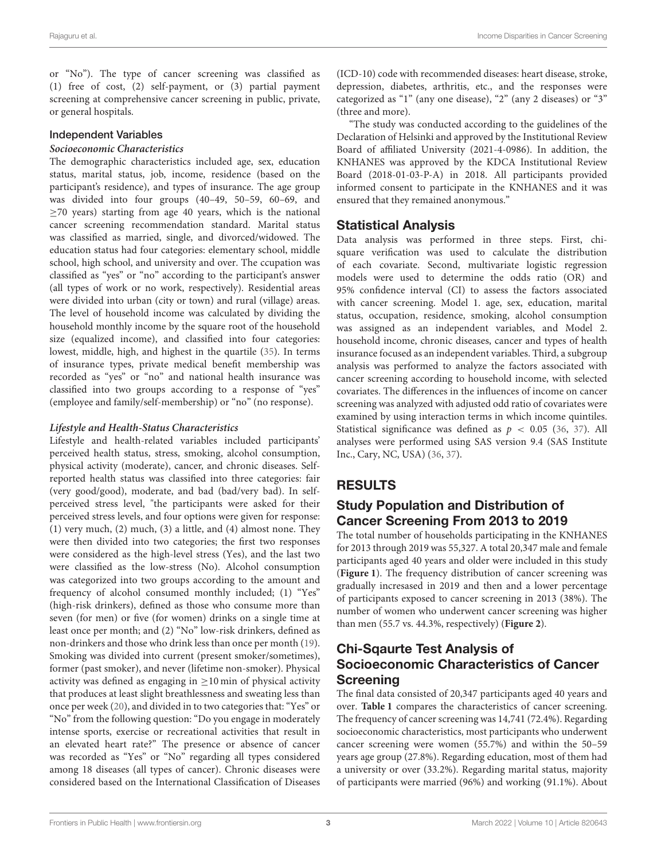or "No"). The type of cancer screening was classified as (1) free of cost, (2) self-payment, or (3) partial payment screening at comprehensive cancer screening in public, private, or general hospitals.

#### Independent Variables

#### **Socioeconomic Characteristics**

The demographic characteristics included age, sex, education status, marital status, job, income, residence (based on the participant's residence), and types of insurance. The age group was divided into four groups (40–49, 50–59, 60–69, and ≥70 years) starting from age 40 years, which is the national cancer screening recommendation standard. Marital status was classified as married, single, and divorced/widowed. The education status had four categories: elementary school, middle school, high school, and university and over. The ccupation was classified as "yes" or "no" according to the participant's answer (all types of work or no work, respectively). Residential areas were divided into urban (city or town) and rural (village) areas. The level of household income was calculated by dividing the household monthly income by the square root of the household size (equalized income), and classified into four categories: lowest, middle, high, and highest in the quartile [\(35\)](#page-10-18). In terms of insurance types, private medical benefit membership was recorded as "yes" or "no" and national health insurance was classified into two groups according to a response of "yes" (employee and family/self-membership) or "no" (no response).

#### **Lifestyle and Health-Status Characteristics**

Lifestyle and health-related variables included participants' perceived health status, stress, smoking, alcohol consumption, physical activity (moderate), cancer, and chronic diseases. Selfreported health status was classified into three categories: fair (very good/good), moderate, and bad (bad/very bad). In selfperceived stress level, "the participants were asked for their perceived stress levels, and four options were given for response: (1) very much, (2) much, (3) a little, and (4) almost none. They were then divided into two categories; the first two responses were considered as the high-level stress (Yes), and the last two were classified as the low-stress (No). Alcohol consumption was categorized into two groups according to the amount and frequency of alcohol consumed monthly included; (1) "Yes" (high-risk drinkers), defined as those who consume more than seven (for men) or five (for women) drinks on a single time at least once per month; and (2) "No" low-risk drinkers, defined as non-drinkers and those who drink less than once per month [\(19\)](#page-10-20). Smoking was divided into current (present smoker/sometimes), former (past smoker), and never (lifetime non-smoker). Physical activity was defined as engaging in  $\geq$ 10 min of physical activity that produces at least slight breathlessness and sweating less than once per week [\(20\)](#page-10-2), and divided in to two categories that: "Yes" or "No" from the following question: "Do you engage in moderately intense sports, exercise or recreational activities that result in an elevated heart rate?" The presence or absence of cancer was recorded as "Yes" or "No" regarding all types considered among 18 diseases (all types of cancer). Chronic diseases were considered based on the International Classification of Diseases (ICD-10) code with recommended diseases: heart disease, stroke, depression, diabetes, arthritis, etc., and the responses were categorized as "1" (any one disease), "2" (any 2 diseases) or "3" (three and more).

"The study was conducted according to the guidelines of the Declaration of Helsinki and approved by the Institutional Review Board of affiliated University (2021-4-0986). In addition, the KNHANES was approved by the KDCA Institutional Review Board (2018-01-03-P-A) in 2018. All participants provided informed consent to participate in the KNHANES and it was ensured that they remained anonymous."

#### Statistical Analysis

Data analysis was performed in three steps. First, chisquare verification was used to calculate the distribution of each covariate. Second, multivariate logistic regression models were used to determine the odds ratio (OR) and 95% confidence interval (CI) to assess the factors associated with cancer screening. Model 1. age, sex, education, marital status, occupation, residence, smoking, alcohol consumption was assigned as an independent variables, and Model 2. household income, chronic diseases, cancer and types of health insurance focused as an independent variables. Third, a subgroup analysis was performed to analyze the factors associated with cancer screening according to household income, with selected covariates. The differences in the influences of income on cancer screening was analyzed with adjusted odd ratio of covariates were examined by using interaction terms in which income quintiles. Statistical significance was defined as  $p < 0.05$  [\(36,](#page-10-21) [37\)](#page-10-22). All analyses were performed using SAS version 9.4 (SAS Institute Inc., Cary, NC, USA) [\(36,](#page-10-21) [37\)](#page-10-22).

# RESULTS

# Study Population and Distribution of Cancer Screening From 2013 to 2019

The total number of households participating in the KNHANES for 2013 through 2019 was 55,327. A total 20,347 male and female participants aged 40 years and older were included in this study (**[Figure 1](#page-3-0)**). The frequency distribution of cancer screening was gradually incresased in 2019 and then and a lower percentage of participants exposed to cancer screening in 2013 (38%). The number of women who underwent cancer screening was higher than men (55.7 vs. 44.3%, respectively) (**[Figure 2](#page-3-1)**).

#### Chi-Sqaurte Test Analysis of Socioeconomic Characteristics of Cancer Screening

The final data consisted of 20,347 participants aged 40 years and over. **[Table 1](#page-4-0)** compares the characteristics of cancer screening. The frequency of cancer screening was 14,741 (72.4%). Regarding socioeconomic characteristics, most participants who underwent cancer screening were women (55.7%) and within the 50–59 years age group (27.8%). Regarding education, most of them had a university or over (33.2%). Regarding marital status, majority of participants were married (96%) and working (91.1%). About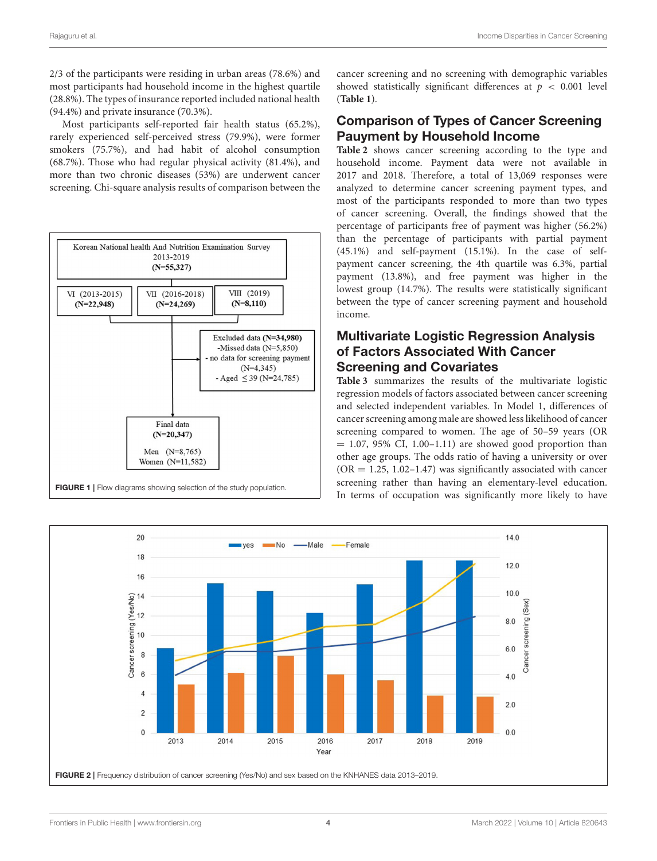2/3 of the participants were residing in urban areas (78.6%) and most participants had household income in the highest quartile (28.8%). The types of insurance reported included national health (94.4%) and private insurance (70.3%).

Most participants self-reported fair health status (65.2%), rarely experienced self-perceived stress (79.9%), were former smokers (75.7%), and had habit of alcohol consumption (68.7%). Those who had regular physical activity (81.4%), and more than two chronic diseases (53%) are underwent cancer screening. Chi-square analysis results of comparison between the



cancer screening and no screening with demographic variables showed statistically significant differences at  $p < 0.001$  level (**[Table 1](#page-4-0)**).

#### Comparison of Types of Cancer Screening Pauyment by Household Income

**[Table 2](#page-5-0)** shows cancer screening according to the type and household income. Payment data were not available in 2017 and 2018. Therefore, a total of 13,069 responses were analyzed to determine cancer screening payment types, and most of the participants responded to more than two types of cancer screening. Overall, the findings showed that the percentage of participants free of payment was higher (56.2%) than the percentage of participants with partial payment (45.1%) and self-payment (15.1%). In the case of selfpayment cancer screening, the 4th quartile was 6.3%, partial payment (13.8%), and free payment was higher in the lowest group (14.7%). The results were statistically significant between the type of cancer screening payment and household income.

### Multivariate Logistic Regression Analysis of Factors Associated With Cancer Screening and Covariates

**[Table 3](#page-6-0)** summarizes the results of the multivariate logistic regression models of factors associated between cancer screening and selected independent variables. In Model 1, differences of cancer screening among male are showed less likelihood of cancer screening compared to women. The age of 50–59 years (OR  $= 1.07, 95\%$  CI, 1.00–1.11) are showed good proportion than other age groups. The odds ratio of having a university or over  $(OR = 1.25, 1.02 - 1.47)$  was significantly associated with cancer screening rather than having an elementary-level education. In terms of occupation was significantly more likely to have

<span id="page-3-1"></span><span id="page-3-0"></span>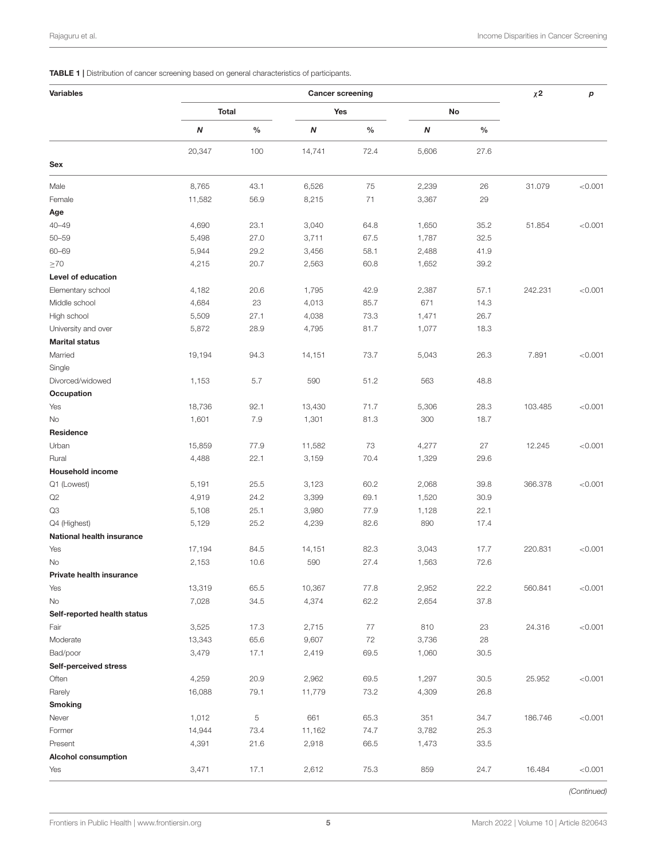<span id="page-4-0"></span>TABLE 1 | Distribution of cancer screening based on general characteristics of participants.

| <b>Variables</b>                 | <b>Cancer screening</b> |             |        |               |       |              |         | р       |
|----------------------------------|-------------------------|-------------|--------|---------------|-------|--------------|---------|---------|
|                                  | <b>Total</b>            |             | Yes    |               | No    |              |         |         |
|                                  | Ν                       | $\%$        | N      | $\frac{0}{0}$ | N     | $\%$         |         |         |
|                                  | 20,347                  | 100         | 14,741 | 72.4          | 5,606 | 27.6         |         |         |
| Sex                              |                         |             |        |               |       |              |         |         |
| Male                             | 8,765                   | 43.1        | 6,526  | 75            | 2,239 | 26           | 31.079  | < 0.001 |
| Female                           | 11,582                  | 56.9        | 8,215  | 71            | 3,367 | 29           |         |         |
| Age                              |                         |             |        |               |       |              |         |         |
| $40 - 49$                        | 4,690                   | 23.1        | 3,040  | 64.8          | 1,650 | 35.2         | 51.854  | < 0.001 |
| $50 - 59$                        | 5,498                   | 27.0        | 3,711  | 67.5          | 1,787 | 32.5         |         |         |
| 60-69                            | 5,944                   | 29.2        | 3,456  | 58.1          | 2,488 | 41.9         |         |         |
| $\geq 70$                        | 4,215                   | 20.7        | 2,563  | 60.8          | 1,652 | 39.2         |         |         |
| Level of education               |                         |             |        |               |       |              |         |         |
| Elementary school                | 4,182                   | 20.6        | 1,795  | 42.9          | 2,387 | 57.1         | 242.231 | < 0.001 |
| Middle school                    | 4,684                   | 23          | 4,013  | 85.7          | 671   | 14.3         |         |         |
| High school                      | 5,509                   | 27.1        | 4,038  | 73.3          | 1,471 | 26.7         |         |         |
| University and over              | 5,872                   | 28.9        | 4,795  | 81.7          | 1,077 | 18.3         |         |         |
| <b>Marital status</b>            |                         |             |        |               |       |              |         |         |
| Married                          | 19,194                  | 94.3        | 14,151 | 73.7          | 5,043 | 26.3         | 7.891   | < 0.001 |
| Single                           |                         |             |        |               |       |              |         |         |
| Divorced/widowed                 | 1,153                   | 5.7         | 590    | 51.2          | 563   | 48.8         |         |         |
| Occupation                       |                         |             |        |               |       |              |         |         |
| Yes                              | 18,736                  | 92.1        | 13,430 | 71.7          | 5,306 | 28.3         | 103.485 | < 0.001 |
| No                               | 1,601                   | 7.9         | 1,301  | 81.3          | 300   | 18.7         |         |         |
| Residence                        |                         |             |        |               |       |              |         |         |
| Urban                            | 15,859                  | 77.9        | 11,582 | 73            | 4,277 | 27           | 12.245  | < 0.001 |
| Rural                            | 4,488                   | 22.1        | 3,159  | 70.4          | 1,329 | 29.6         |         |         |
| <b>Household income</b>          |                         |             |        |               |       |              |         |         |
| Q1 (Lowest)                      | 5,191                   | 25.5        | 3,123  | 60.2          | 2,068 | 39.8         | 366.378 | < 0.001 |
| Q2                               | 4,919                   | 24.2        | 3,399  | 69.1          | 1,520 | 30.9         |         |         |
| Q3                               | 5,108                   | 25.1        | 3,980  | 77.9          | 1,128 | 22.1         |         |         |
| Q4 (Highest)                     | 5,129                   | 25.2        | 4,239  | 82.6          | 890   | 17.4         |         |         |
| <b>National health insurance</b> |                         |             |        |               |       |              |         |         |
| Yes                              | 17,194                  | 84.5        | 14,151 | 82.3          | 3,043 | 17.7         | 220.831 | < 0.001 |
| No                               | 2,153                   | 10.6        | 590    | 27.4          | 1,563 | 72.6         |         |         |
| Private health insurance         |                         |             |        |               |       |              |         |         |
| Yes                              | 13,319                  | 65.5        | 10,367 | 77.8          | 2,952 | 22.2         | 560.841 | < 0.001 |
| No                               | 7,028                   | 34.5        | 4,374  | 62.2          | 2,654 | 37.8         |         |         |
| Self-reported health status      |                         |             |        |               |       |              |         |         |
| Fair                             | 3,525                   | 17.3        | 2,715  | 77            | 810   | 23           | 24.316  | < 0.001 |
| Moderate                         | 13,343                  | 65.6        | 9,607  | 72            | 3,736 | 28           |         |         |
| Bad/poor                         | 3,479                   | 17.1        | 2,419  | 69.5          | 1,060 | 30.5         |         |         |
| <b>Self-perceived stress</b>     |                         |             |        |               |       |              |         |         |
| Often                            | 4,259                   | 20.9        | 2,962  | 69.5          | 1,297 | 30.5         | 25.952  | < 0.001 |
| Rarely                           | 16,088                  | 79.1        | 11,779 | 73.2          | 4,309 | 26.8         |         |         |
| <b>Smoking</b>                   |                         |             |        |               |       |              |         |         |
| Never                            | 1,012                   | $\,$ 5 $\,$ | 661    | 65.3          | 351   |              |         |         |
| Former                           | 14,944                  | 73.4        | 11,162 | 74.7          | 3,782 | 34.7<br>25.3 | 186.746 | < 0.001 |
| Present                          | 4,391                   | 21.6        | 2,918  | 66.5          |       | 33.5         |         |         |
| <b>Alcohol consumption</b>       |                         |             |        |               | 1,473 |              |         |         |
|                                  | 3,471                   | 17.1        | 2,612  | 75.3          | 859   | 24.7         | 16.484  | < 0.001 |
| Yes                              |                         |             |        |               |       |              |         |         |

*(Continued)*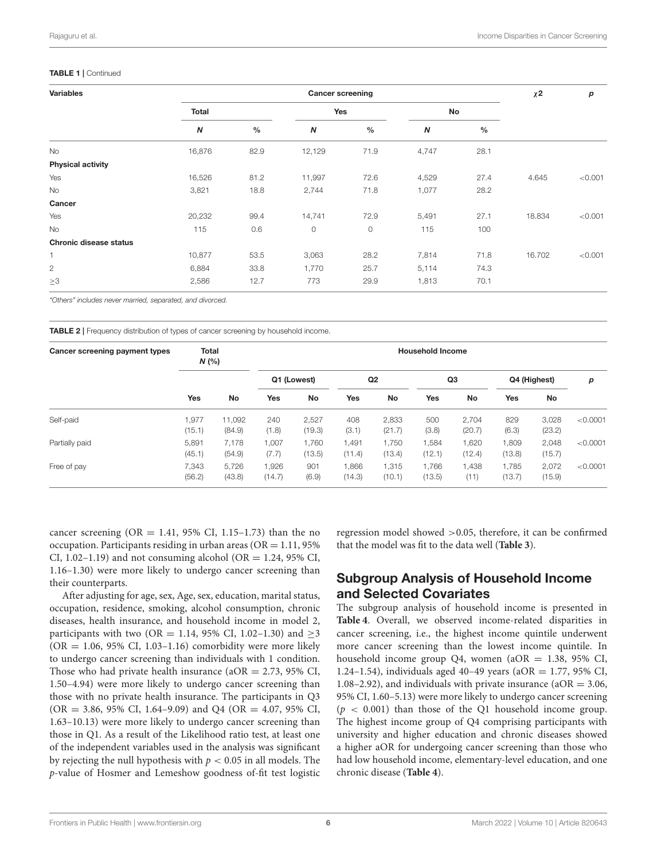#### TABLE 1 | Continued

| <b>Variables</b>         | <b>Cancer screening</b> |               |                  |               |                  |               |        | р       |
|--------------------------|-------------------------|---------------|------------------|---------------|------------------|---------------|--------|---------|
|                          | Total                   |               | Yes              |               | No               |               |        |         |
|                          | $\boldsymbol{N}$        | $\frac{0}{0}$ | $\boldsymbol{N}$ | $\frac{0}{0}$ | $\boldsymbol{N}$ | $\frac{0}{0}$ |        |         |
| <b>No</b>                | 16,876                  | 82.9          | 12,129           | 71.9          | 4,747            | 28.1          |        |         |
| <b>Physical activity</b> |                         |               |                  |               |                  |               |        |         |
| Yes                      | 16,526                  | 81.2          | 11,997           | 72.6          | 4,529            | 27.4          | 4.645  | < 0.001 |
| No                       | 3,821                   | 18.8          | 2,744            | 71.8          | 1,077            | 28.2          |        |         |
| Cancer                   |                         |               |                  |               |                  |               |        |         |
| Yes                      | 20,232                  | 99.4          | 14,741           | 72.9          | 5,491            | 27.1          | 18.834 | < 0.001 |
| <b>No</b>                | 115                     | 0.6           | $\circ$          | 0             | 115              | 100           |        |         |
| Chronic disease status   |                         |               |                  |               |                  |               |        |         |
| 1                        | 10,877                  | 53.5          | 3,063            | 28.2          | 7,814            | 71.8          | 16.702 | < 0.001 |
| $\mathbf{2}$             | 6,884                   | 33.8          | 1,770            | 25.7          | 5,114            | 74.3          |        |         |
| $\geq 3$                 | 2,586                   | 12.7          | 773              | 29.9          | 1,813            | 70.1          |        |         |

*"Others" includes never married, separated, and divorced.*

<span id="page-5-0"></span>TABLE 2 | Frequency distribution of types of cancer screening by household income.

| Cancer screening payment types | <b>Total</b><br>N(% |                  | <b>Household Income</b> |                 |                 |                 |                 |                 |                 |                 |          |
|--------------------------------|---------------------|------------------|-------------------------|-----------------|-----------------|-----------------|-----------------|-----------------|-----------------|-----------------|----------|
|                                | <b>Yes</b>          |                  | Q1 (Lowest)             |                 | Q <sub>2</sub>  |                 | Q3              |                 | Q4 (Highest)    |                 | р        |
|                                |                     | No               | <b>Yes</b>              | No              | Yes             | No              | Yes             | <b>No</b>       | Yes             | No              |          |
| Self-paid                      | ,977<br>(15.1)      | 11.092<br>(84.9) | 240<br>(1.8)            | 2,527<br>(19.3) | 408<br>(3.1)    | 2,833<br>(21.7) | 500<br>(3.8)    | 2.704<br>(20.7) | 829<br>(6.3)    | 3,028<br>(23.2) | < 0.0001 |
| Partially paid                 | 5,891<br>(45.1)     | 7.178<br>(54.9)  | 1,007<br>(7.7)          | 1,760<br>(13.5) | 1,491<br>(11.4) | 1,750<br>(13.4) | 1,584<br>(12.1) | 1,620<br>(12.4) | 1,809<br>(13.8) | 2,048<br>(15.7) | < 0.0001 |
| Free of pay                    | 7.343<br>(56.2)     | 5.726<br>(43.8)  | 1.926<br>(14.7)         | 901<br>(6.9)    | 1.866<br>(14.3) | 1.315<br>(10.1) | 1.766<br>(13.5) | 1.438<br>(11)   | 1.785<br>(13.7) | 2.072<br>(15.9) | < 0.0001 |

cancer screening (OR = 1.41, 95% CI, 1.15-1.73) than the no occupation. Participants residing in urban areas ( $OR = 1.11$ , 95%) CI, 1.02–1.19) and not consuming alcohol (OR = 1.24, 95% CI, 1.16–1.30) were more likely to undergo cancer screening than their counterparts.

After adjusting for age, sex, Age, sex, education, marital status, occupation, residence, smoking, alcohol consumption, chronic diseases, health insurance, and household income in model 2, participants with two (OR = 1.14, 95% CI, 1.02–1.30) and  $\geq$ 3  $(OR = 1.06, 95\% \text{ CI}, 1.03-1.16)$  comorbidity were more likely to undergo cancer screening than individuals with 1 condition. Those who had private health insurance ( $aOR = 2.73$ , 95% CI, 1.50–4.94) were more likely to undergo cancer screening than those with no private health insurance. The participants in Q3  $(OR = 3.86, 95\% \text{ CI}, 1.64-9.09)$  and  $Q4 (OR = 4.07, 95\% \text{ CI},$ 1.63–10.13) were more likely to undergo cancer screening than those in Q1. As a result of the Likelihood ratio test, at least one of the independent variables used in the analysis was significant by rejecting the null hypothesis with  $p < 0.05$  in all models. The p-value of Hosmer and Lemeshow goodness of-fit test logistic regression model showed >0.05, therefore, it can be confirmed that the model was fit to the data well (**[Table 3](#page-6-0)**).

### Subgroup Analysis of Household Income and Selected Covariates

The subgroup analysis of household income is presented in **[Table 4](#page-7-0)**. Overall, we observed income-related disparities in cancer screening, i.e., the highest income quintile underwent more cancer screening than the lowest income quintile. In household income group Q4, women ( $aOR = 1.38$ , 95% CI, 1.24–1.54), individuals aged 40–49 years (aOR = 1.77, 95% CI, 1.08–2.92), and individuals with private insurance ( $aOR = 3.06$ , 95% CI, 1.60–5.13) were more likely to undergo cancer screening  $(p < 0.001)$  than those of the Q1 household income group. The highest income group of Q4 comprising participants with university and higher education and chronic diseases showed a higher aOR for undergoing cancer screening than those who had low household income, elementary-level education, and one chronic disease (**[Table 4](#page-7-0)**).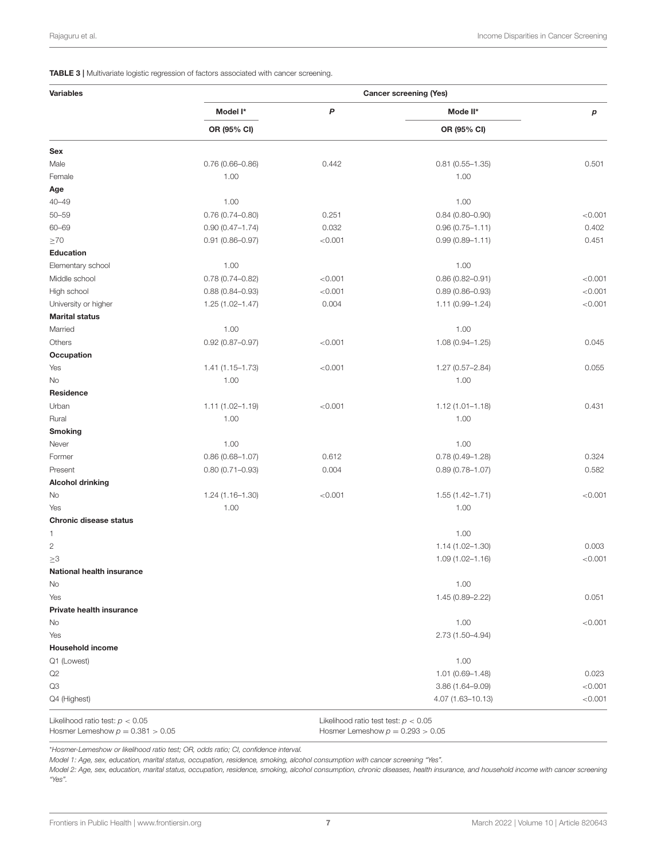<span id="page-6-0"></span>TABLE 3 | Multivariate logistic regression of factors associated with cancer screening.

| <b>Variables</b>                                                        |                     |                                                                              | <b>Cancer screening (Yes)</b> |         |  |
|-------------------------------------------------------------------------|---------------------|------------------------------------------------------------------------------|-------------------------------|---------|--|
|                                                                         | Model I*            | P                                                                            | Mode II*                      | р       |  |
|                                                                         | OR (95% CI)         |                                                                              | OR (95% CI)                   |         |  |
| Sex                                                                     |                     |                                                                              |                               |         |  |
| Male                                                                    | $0.76(0.66 - 0.86)$ | 0.442                                                                        | $0.81(0.55 - 1.35)$           | 0.501   |  |
| Female                                                                  | 1.00                |                                                                              | 1.00                          |         |  |
| Age                                                                     |                     |                                                                              |                               |         |  |
| $40 - 49$                                                               | 1.00                |                                                                              | 1.00                          |         |  |
| $50 - 59$                                                               | $0.76(0.74 - 0.80)$ | 0.251                                                                        | $0.84(0.80 - 0.90)$           | < 0.001 |  |
| 60-69                                                                   | $0.90(0.47 - 1.74)$ | 0.032                                                                        | $0.96(0.75 - 1.11)$           | 0.402   |  |
| $\geq 70$                                                               | $0.91(0.86 - 0.97)$ | < 0.001                                                                      | $0.99(0.89 - 1.11)$           | 0.451   |  |
| <b>Education</b>                                                        |                     |                                                                              |                               |         |  |
| Elementary school                                                       | 1.00                |                                                                              | 1.00                          |         |  |
| Middle school                                                           | $0.78(0.74 - 0.82)$ | < 0.001                                                                      | $0.86(0.82 - 0.91)$           | < 0.001 |  |
| High school                                                             | $0.88(0.84 - 0.93)$ | < 0.001                                                                      | $0.89(0.86 - 0.93)$           | < 0.001 |  |
| University or higher                                                    | $1.25(1.02 - 1.47)$ | 0.004                                                                        | 1.11 (0.99-1.24)              | < 0.001 |  |
| <b>Marital status</b>                                                   |                     |                                                                              |                               |         |  |
| Married                                                                 | 1.00                |                                                                              | 1.00                          |         |  |
| Others                                                                  | $0.92(0.87 - 0.97)$ | < 0.001                                                                      | 1.08 (0.94-1.25)              | 0.045   |  |
| Occupation                                                              |                     |                                                                              |                               |         |  |
| Yes                                                                     | 1.41 (1.15-1.73)    | < 0.001                                                                      | $1.27(0.57 - 2.84)$           | 0.055   |  |
| <b>No</b>                                                               | 1.00                |                                                                              | 1.00                          |         |  |
| Residence                                                               |                     |                                                                              |                               |         |  |
| Urban                                                                   | $1.11(1.02 - 1.19)$ | < 0.001                                                                      | $1.12(1.01 - 1.18)$           | 0.431   |  |
| Rural                                                                   | 1.00                |                                                                              | 1.00                          |         |  |
| <b>Smoking</b>                                                          |                     |                                                                              |                               |         |  |
| Never                                                                   | 1.00                |                                                                              | 1.00                          |         |  |
| Former                                                                  | $0.86(0.68 - 1.07)$ | 0.612                                                                        | $0.78(0.49 - 1.28)$           | 0.324   |  |
| Present                                                                 | $0.80(0.71 - 0.93)$ | 0.004                                                                        | $0.89(0.78 - 1.07)$           | 0.582   |  |
| <b>Alcohol drinking</b>                                                 |                     |                                                                              |                               |         |  |
| No                                                                      | $1.24(1.16 - 1.30)$ | < 0.001                                                                      | $1.55(1.42 - 1.71)$           | < 0.001 |  |
| Yes                                                                     | 1.00                |                                                                              | 1.00                          |         |  |
| <b>Chronic disease status</b>                                           |                     |                                                                              |                               |         |  |
| 1                                                                       |                     |                                                                              | 1.00                          |         |  |
| $\mathbf{2}$                                                            |                     |                                                                              | $1.14(1.02 - 1.30)$           | 0.003   |  |
| $\geq 3$                                                                |                     |                                                                              | $1.09(1.02 - 1.16)$           | < 0.001 |  |
| National health insurance                                               |                     |                                                                              |                               |         |  |
| No                                                                      |                     |                                                                              | 1.00                          |         |  |
| Yes                                                                     |                     |                                                                              | 1.45 (0.89-2.22)              | 0.051   |  |
| Private health insurance                                                |                     |                                                                              |                               |         |  |
| No                                                                      |                     |                                                                              | 1.00                          | < 0.001 |  |
| Yes                                                                     |                     |                                                                              | 2.73 (1.50-4.94)              |         |  |
| <b>Household income</b>                                                 |                     |                                                                              |                               |         |  |
| Q1 (Lowest)                                                             |                     |                                                                              | 1.00                          |         |  |
| Q2                                                                      |                     |                                                                              | 1.01 (0.69-1.48)              | 0.023   |  |
| Q3                                                                      |                     |                                                                              | 3.86 (1.64-9.09)              | < 0.001 |  |
| Q4 (Highest)                                                            |                     |                                                                              | 4.07 (1.63-10.13)             | < 0.001 |  |
| Likelihood ratio test: $p < 0.05$<br>Hosmer Lemeshow $p = 0.381 > 0.05$ |                     | Likelihood ratio test test: $p < 0.05$<br>Hosmer Lemeshow $p = 0.293 > 0.05$ |                               |         |  |

\**Hosmer-Lemeshow or likelihood ratio test; OR, odds ratio; CI, confidence interval.*

*Model 1: Age, sex, education, marital status, occupation, residence, smoking, alcohol consumption with cancer screening "Yes".*

*Model 2: Age, sex, education, marital status, occupation, residence, smoking, alcohol consumption, chronic diseases, health insurance, and household income with cancer screening "Yes".*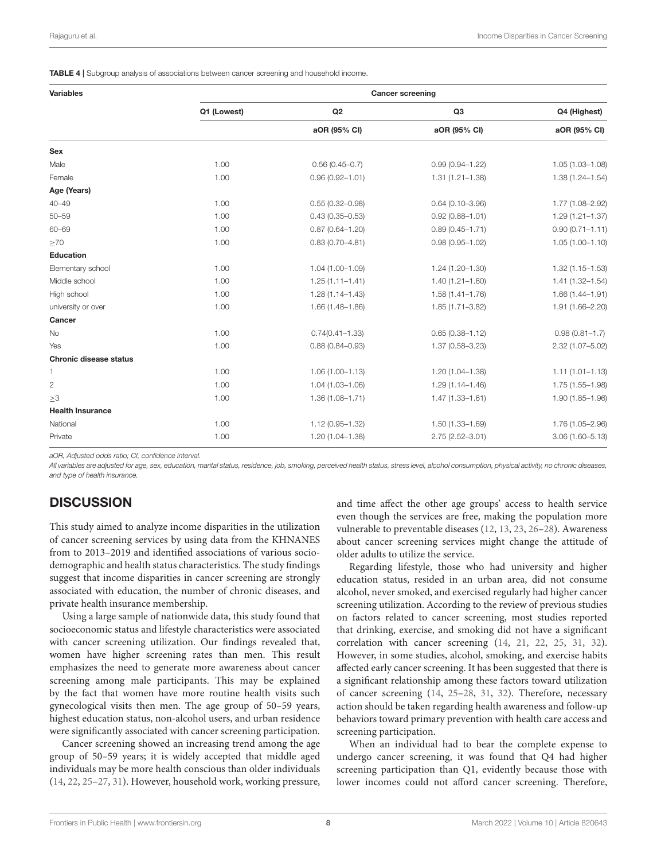<span id="page-7-0"></span>TABLE 4 | Subgroup analysis of associations between cancer screening and household income.

| <b>Variables</b>              | <b>Cancer screening</b> |                     |                     |                     |  |  |  |
|-------------------------------|-------------------------|---------------------|---------------------|---------------------|--|--|--|
|                               | Q1 (Lowest)             | Q2                  | Q <sub>3</sub>      | Q4 (Highest)        |  |  |  |
|                               |                         | aOR (95% CI)        | aOR (95% CI)        | aOR (95% CI)        |  |  |  |
| Sex                           |                         |                     |                     |                     |  |  |  |
| Male                          | 1.00                    | $0.56(0.45 - 0.7)$  | $0.99(0.94 - 1.22)$ | 1.05 (1.03-1.08)    |  |  |  |
| Female                        | 1.00                    | $0.96(0.92 - 1.01)$ | $1.31(1.21 - 1.38)$ | $1.38(1.24 - 1.54)$ |  |  |  |
| Age (Years)                   |                         |                     |                     |                     |  |  |  |
| $40 - 49$                     | 1.00                    | $0.55(0.32 - 0.98)$ | $0.64(0.10 - 3.96)$ | 1.77 (1.08-2.92)    |  |  |  |
| $50 - 59$                     | 1.00                    | $0.43(0.35 - 0.53)$ | $0.92(0.88 - 1.01)$ | $1.29(1.21 - 1.37)$ |  |  |  |
| 60-69                         | 1.00                    | $0.87(0.64 - 1.20)$ | $0.89(0.45 - 1.71)$ | $0.90(0.71 - 1.11)$ |  |  |  |
| $\geq 70$                     | 1.00                    | $0.83(0.70 - 4.81)$ | $0.98(0.95 - 1.02)$ | $1.05(1.00 - 1.10)$ |  |  |  |
| <b>Education</b>              |                         |                     |                     |                     |  |  |  |
| Elementary school             | 1.00                    | $1.04(1.00 - 1.09)$ | $1.24(1.20 - 1.30)$ | $1.32(1.15 - 1.53)$ |  |  |  |
| Middle school                 | 1.00                    | $1.25(1.11 - 1.41)$ | $1.40(1.21 - 1.60)$ | $1.41(1.32 - 1.54)$ |  |  |  |
| High school                   | 1.00                    | $1.28(1.14 - 1.43)$ | $1.58(1.41 - 1.76)$ | $1.66(1.44 - 1.91)$ |  |  |  |
| university or over            | 1.00                    | $1.66(1.48 - 1.86)$ | $1.85(1.71 - 3.82)$ | 1.91 (1.66-2.20)    |  |  |  |
| Cancer                        |                         |                     |                     |                     |  |  |  |
| No                            | 1.00                    | $0.74(0.41 - 1.33)$ | $0.65(0.38 - 1.12)$ | $0.98(0.81 - 1.7)$  |  |  |  |
| Yes                           | 1.00                    | $0.88(0.84 - 0.93)$ | $1.37(0.58 - 3.23)$ | 2.32 (1.07-5.02)    |  |  |  |
| <b>Chronic disease status</b> |                         |                     |                     |                     |  |  |  |
| 1                             | 1.00                    | $1.06(1.00 - 1.13)$ | $1.20(1.04 - 1.38)$ | $1.11(1.01 - 1.13)$ |  |  |  |
| 2                             | 1.00                    | $1.04(1.03 - 1.06)$ | $1.29(1.14 - 1.46)$ | 1.75 (1.55-1.98)    |  |  |  |
| $\geq 3$                      | 1.00                    | $1.36(1.08 - 1.71)$ | $1.47(1.33 - 1.61)$ | 1.90 (1.85-1.96)    |  |  |  |
| <b>Health Insurance</b>       |                         |                     |                     |                     |  |  |  |
| National                      | 1.00                    | $1.12(0.95 - 1.32)$ | $1.50(1.33 - 1.69)$ | 1.76 (1.05-2.96)    |  |  |  |
| Private                       | 1.00                    | $1.20(1.04 - 1.38)$ | $2.75(2.52 - 3.01)$ | $3.06(1.60 - 5.13)$ |  |  |  |

*aOR, Adjusted odds ratio; CI, confidence interval.*

*All variables are adjusted for age, sex, education, marital status, residence, job, smoking, perceived health status, stress level, alcohol consumption, physical activity, no chronic diseases, and type of health insurance.*

# **DISCUSSION**

This study aimed to analyze income disparities in the utilization of cancer screening services by using data from the KHNANES from to 2013–2019 and identified associations of various sociodemographic and health status characteristics. The study findings suggest that income disparities in cancer screening are strongly associated with education, the number of chronic diseases, and private health insurance membership.

Using a large sample of nationwide data, this study found that socioeconomic status and lifestyle characteristics were associated with cancer screening utilization. Our findings revealed that, women have higher screening rates than men. This result emphasizes the need to generate more awareness about cancer screening among male participants. This may be explained by the fact that women have more routine health visits such gynecological visits then men. The age group of 50–59 years, highest education status, non-alcohol users, and urban residence were significantly associated with cancer screening participation.

Cancer screening showed an increasing trend among the age group of 50–59 years; it is widely accepted that middle aged individuals may be more health conscious than older individuals [\(14,](#page-10-6) [22,](#page-10-11) [25–](#page-10-7)[27,](#page-10-23) [31\)](#page-10-9). However, household work, working pressure, and time affect the other age groups' access to health service even though the services are free, making the population more vulnerable to preventable diseases [\(12,](#page-10-0) [13,](#page-10-1) [23,](#page-10-16) [26](#page-10-24)[–28\)](#page-10-8). Awareness about cancer screening services might change the attitude of older adults to utilize the service.

Regarding lifestyle, those who had university and higher education status, resided in an urban area, did not consume alcohol, never smoked, and exercised regularly had higher cancer screening utilization. According to the review of previous studies on factors related to cancer screening, most studies reported that drinking, exercise, and smoking did not have a significant correlation with cancer screening [\(14,](#page-10-6) [21,](#page-10-3) [22,](#page-10-11) [25,](#page-10-7) [31,](#page-10-9) [32\)](#page-10-17). However, in some studies, alcohol, smoking, and exercise habits affected early cancer screening. It has been suggested that there is a significant relationship among these factors toward utilization of cancer screening [\(14,](#page-10-6) [25](#page-10-7)[–28,](#page-10-8) [31,](#page-10-9) [32\)](#page-10-17). Therefore, necessary action should be taken regarding health awareness and follow-up behaviors toward primary prevention with health care access and screening participation.

When an individual had to bear the complete expense to undergo cancer screening, it was found that Q4 had higher screening participation than Q1, evidently because those with lower incomes could not afford cancer screening. Therefore,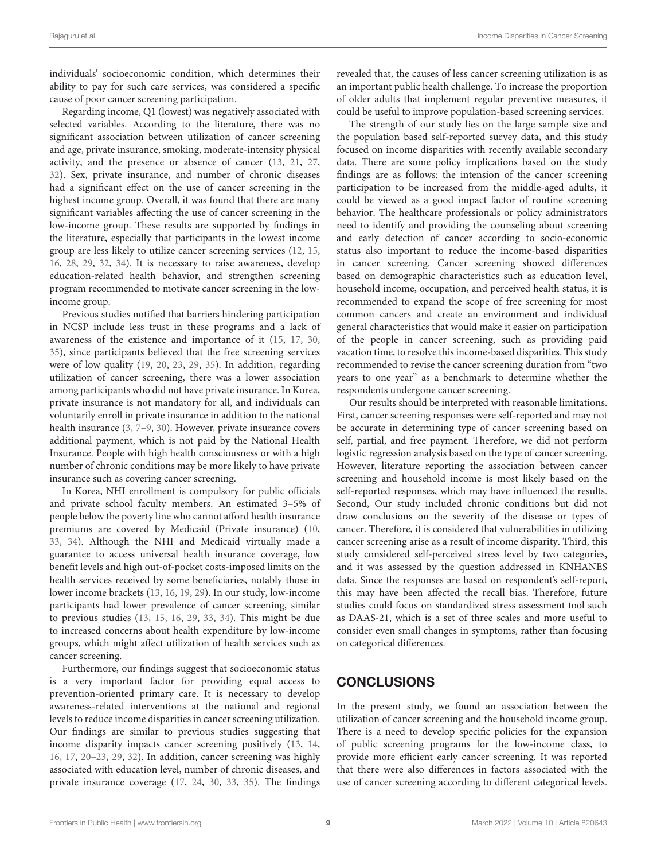individuals' socioeconomic condition, which determines their ability to pay for such care services, was considered a specific cause of poor cancer screening participation.

Regarding income, Q1 (lowest) was negatively associated with selected variables. According to the literature, there was no significant association between utilization of cancer screening and age, private insurance, smoking, moderate-intensity physical activity, and the presence or absence of cancer [\(13,](#page-10-1) [21,](#page-10-3) [27,](#page-10-23) [32\)](#page-10-17). Sex, private insurance, and number of chronic diseases had a significant effect on the use of cancer screening in the highest income group. Overall, it was found that there are many significant variables affecting the use of cancer screening in the low-income group. These results are supported by findings in the literature, especially that participants in the lowest income group are less likely to utilize cancer screening services [\(12,](#page-10-0) [15,](#page-10-14) [16,](#page-10-10) [28,](#page-10-8) [29,](#page-10-12) [32,](#page-10-17) [34\)](#page-10-13). It is necessary to raise awareness, develop education-related health behavior, and strengthen screening program recommended to motivate cancer screening in the lowincome group.

Previous studies notified that barriers hindering participation in NCSP include less trust in these programs and a lack of awareness of the existence and importance of it [\(15,](#page-10-14) [17,](#page-10-25) [30,](#page-10-5) [35\)](#page-10-18), since participants believed that the free screening services were of low quality [\(19,](#page-10-20) [20,](#page-10-2) [23,](#page-10-16) [29,](#page-10-12) [35\)](#page-10-18). In addition, regarding utilization of cancer screening, there was a lower association among participants who did not have private insurance. In Korea, private insurance is not mandatory for all, and individuals can voluntarily enroll in private insurance in addition to the national health insurance [\(3,](#page-9-2) [7–](#page-9-6)[9,](#page-9-8) [30\)](#page-10-5). However, private insurance covers additional payment, which is not paid by the National Health Insurance. People with high health consciousness or with a high number of chronic conditions may be more likely to have private insurance such as covering cancer screening.

In Korea, NHI enrollment is compulsory for public officials and private school faculty members. An estimated 3–5% of people below the poverty line who cannot afford health insurance premiums are covered by Medicaid (Private insurance) [\(10,](#page-9-9) [33,](#page-10-15) [34\)](#page-10-13). Although the NHI and Medicaid virtually made a guarantee to access universal health insurance coverage, low benefit levels and high out-of-pocket costs-imposed limits on the health services received by some beneficiaries, notably those in lower income brackets [\(13,](#page-10-1) [16,](#page-10-10) [19,](#page-10-20) [29\)](#page-10-12). In our study, low-income participants had lower prevalence of cancer screening, similar to previous studies [\(13,](#page-10-1) [15,](#page-10-14) [16,](#page-10-10) [29,](#page-10-12) [33,](#page-10-15) [34\)](#page-10-13). This might be due to increased concerns about health expenditure by low-income groups, which might affect utilization of health services such as cancer screening.

Furthermore, our findings suggest that socioeconomic status is a very important factor for providing equal access to prevention-oriented primary care. It is necessary to develop awareness-related interventions at the national and regional levels to reduce income disparities in cancer screening utilization. Our findings are similar to previous studies suggesting that income disparity impacts cancer screening positively [\(13,](#page-10-1) [14,](#page-10-6) [16,](#page-10-10) [17,](#page-10-25) [20](#page-10-2)[–23,](#page-10-16) [29,](#page-10-12) [32\)](#page-10-17). In addition, cancer screening was highly associated with education level, number of chronic diseases, and private insurance coverage [\(17,](#page-10-25) [24,](#page-10-4) [30,](#page-10-5) [33,](#page-10-15) [35\)](#page-10-18). The findings revealed that, the causes of less cancer screening utilization is as an important public health challenge. To increase the proportion of older adults that implement regular preventive measures, it could be useful to improve population-based screening services.

The strength of our study lies on the large sample size and the population based self-reported survey data, and this study focused on income disparities with recently available secondary data. There are some policy implications based on the study findings are as follows: the intension of the cancer screening participation to be increased from the middle-aged adults, it could be viewed as a good impact factor of routine screening behavior. The healthcare professionals or policy administrators need to identify and providing the counseling about screening and early detection of cancer according to socio-economic status also important to reduce the income-based disparities in cancer screening. Cancer screening showed differences based on demographic characteristics such as education level, household income, occupation, and perceived health status, it is recommended to expand the scope of free screening for most common cancers and create an environment and individual general characteristics that would make it easier on participation of the people in cancer screening, such as providing paid vacation time, to resolve this income-based disparities. This study recommended to revise the cancer screening duration from "two years to one year" as a benchmark to determine whether the respondents undergone cancer screening.

Our results should be interpreted with reasonable limitations. First, cancer screening responses were self-reported and may not be accurate in determining type of cancer screening based on self, partial, and free payment. Therefore, we did not perform logistic regression analysis based on the type of cancer screening. However, literature reporting the association between cancer screening and household income is most likely based on the self-reported responses, which may have influenced the results. Second, Our study included chronic conditions but did not draw conclusions on the severity of the disease or types of cancer. Therefore, it is considered that vulnerabilities in utilizing cancer screening arise as a result of income disparity. Third, this study considered self-perceived stress level by two categories, and it was assessed by the question addressed in KNHANES data. Since the responses are based on respondent's self-report, this may have been affected the recall bias. Therefore, future studies could focus on standardized stress assessment tool such as DAAS-21, which is a set of three scales and more useful to consider even small changes in symptoms, rather than focusing on categorical differences.

# **CONCLUSIONS**

In the present study, we found an association between the utilization of cancer screening and the household income group. There is a need to develop specific policies for the expansion of public screening programs for the low-income class, to provide more efficient early cancer screening. It was reported that there were also differences in factors associated with the use of cancer screening according to different categorical levels.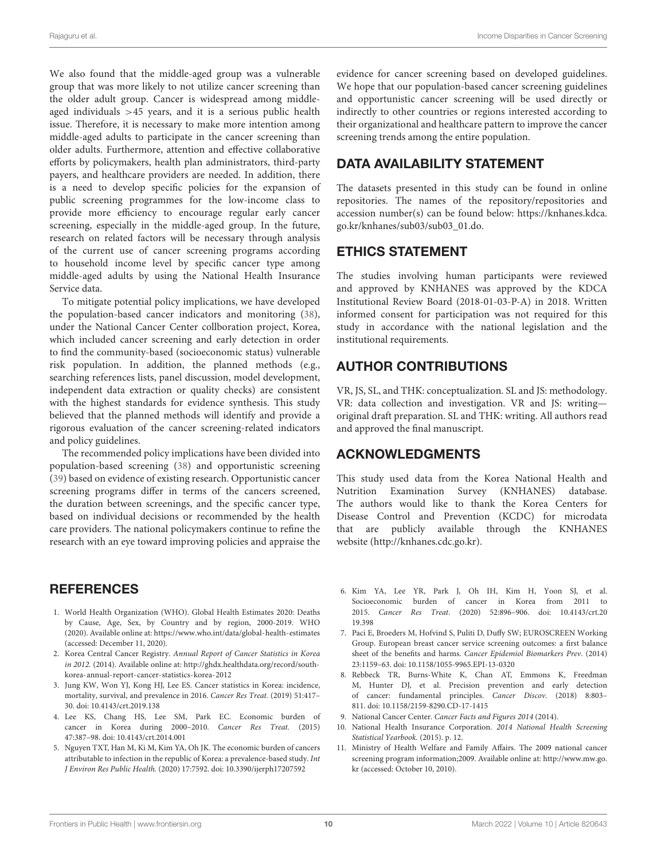We also found that the middle-aged group was a vulnerable group that was more likely to not utilize cancer screening than the older adult group. Cancer is widespread among middleaged individuals  $>45$  years, and it is a serious public health issue. Therefore, it is necessary to make more intention among middle-aged adults to participate in the cancer screening than older adults. Furthermore, attention and effective collaborative efforts by policymakers, health plan administrators, third-party payers, and healthcare providers are needed. In addition, there is a need to develop specific policies for the expansion of public screening programmes for the low-income class to provide more efficiency to encourage regular early cancer screening, especially in the middle-aged group. In the future, research on related factors will be necessary through analysis of the current use of cancer screening programs according to household income level by specific cancer type among middle-aged adults by using the National Health Insurance Service data.

To mitigate potential policy implications, we have developed the population-based cancer indicators and monitoring [\(38\)](#page-10-26), under the National Cancer Center collboration project, Korea, which included cancer screening and early detection in order to find the community-based (socioeconomic status) vulnerable risk population. In addition, the planned methods (e.g., searching references lists, panel discussion, model development, independent data extraction or quality checks) are consistent with the highest standards for evidence synthesis. This study believed that the planned methods will identify and provide a rigorous evaluation of the cancer screening-related indicators and policy guidelines.

The recommended policy implications have been divided into population-based screening [\(38\)](#page-10-26) and opportunistic screening [\(39\)](#page-10-27) based on evidence of existing research. Opportunistic cancer screening programs differ in terms of the cancers screened, the duration between screenings, and the specific cancer type, based on individual decisions or recommended by the health care providers. The national policymakers continue to refine the research with an eye toward improving policies and appraise the

#### **REFERENCES**

- <span id="page-9-0"></span>1. World Health Organization (WHO). Global Health Estimates 2020: Deaths by Cause, Age, Sex, by Country and by region, 2000-2019. WHO (2020). Available online at:<https://www.who.int/data/global-health-estimates> (accessed: December 11, 2020).
- <span id="page-9-1"></span>2. Korea Central Cancer Registry. Annual Report of Cancer Statistics in Korea in 2012. (2014). Available online at: [http://ghdx.healthdata.org/record/south](http://ghdx.healthdata.org/record/south-korea-annual-report-cancer-statistics-korea-2012)[korea-annual-report-cancer-statistics-korea-2012](http://ghdx.healthdata.org/record/south-korea-annual-report-cancer-statistics-korea-2012)
- <span id="page-9-2"></span>3. Jung KW, Won YJ, Kong HJ, Lee ES. Cancer statistics in Korea: incidence, mortality, survival, and prevalence in 2016. Cancer Res Treat. (2019) 51:417– 30. doi: [10.4143/crt.2019.138](https://doi.org/10.4143/crt.2019.138)
- <span id="page-9-3"></span>4. Lee KS, Chang HS, Lee SM, Park EC. Economic burden of cancer in Korea during 2000–2010. Cancer Res Treat. (2015) 47:387–98. doi: [10.4143/crt.2014.001](https://doi.org/10.4143/crt.2014.001)
- <span id="page-9-4"></span>5. Nguyen TXT, Han M, Ki M, Kim YA, Oh JK. The economic burden of cancers attributable to infection in the republic of Korea: a prevalence-based study. Int J Environ Res Public Health. (2020) 17:7592. doi: [10.3390/ijerph17207592](https://doi.org/10.3390/ijerph17207592)

evidence for cancer screening based on developed guidelines. We hope that our population-based cancer screening guidelines and opportunistic cancer screening will be used directly or indirectly to other countries or regions interested according to their organizational and healthcare pattern to improve the cancer screening trends among the entire population.

# DATA AVAILABILITY STATEMENT

The datasets presented in this study can be found in online repositories. The names of the repository/repositories and accession number(s) can be found below: [https://knhanes.kdca.](https://knhanes.kdca.go.kr/knhanes/sub03/sub03_01.do) [go.kr/knhanes/sub03/sub03\\_01.do.](https://knhanes.kdca.go.kr/knhanes/sub03/sub03_01.do)

#### ETHICS STATEMENT

The studies involving human participants were reviewed and approved by KNHANES was approved by the KDCA Institutional Review Board (2018-01-03-P-A) in 2018. Written informed consent for participation was not required for this study in accordance with the national legislation and the institutional requirements.

#### AUTHOR CONTRIBUTIONS

VR, JS, SL, and THK: conceptualization. SL and JS: methodology. VR: data collection and investigation. VR and JS: writing original draft preparation. SL and THK: writing. All authors read and approved the final manuscript.

#### ACKNOWLEDGMENTS

This study used data from the Korea National Health and Nutrition Examination Survey (KNHANES) database. The authors would like to thank the Korea Centers for Disease Control and Prevention (KCDC) for microdata that are publicly available through the KNHANES website [\(http://knhanes.cdc.go.kr\)](http://knhanes.cdc.go.kr).

- <span id="page-9-5"></span>6. Kim YA, Lee YR, Park J, Oh IH, Kim H, Yoon SJ, et al. Socioeconomic burden of cancer in Korea from 2011 to 2015. Cancer Res Treat[. \(2020\) 52:896–906. doi: 10.4143/crt.20](https://doi.org/10.4143/crt.2019.398) 19.398
- <span id="page-9-6"></span>7. Paci E, Broeders M, Hofvind S, Puliti D, Duffy SW; EUROSCREEN Working Group. European breast cancer service screening outcomes: a first balance sheet of the benefits and harms. Cancer Epidemiol Biomarkers Prev. (2014) 23:1159–63. doi: [10.1158/1055-9965.EPI-13-0320](https://doi.org/10.1158/1055-9965.EPI-13-0320)
- <span id="page-9-7"></span>8. Rebbeck TR, Burns-White K, Chan AT, Emmons K, Freedman M, Hunter DJ, et al. Precision prevention and early detection of cancer: fundamental principles. Cancer Discov. (2018) 8:803– 811. doi: [10.1158/2159-8290.CD-17-1415](https://doi.org/10.1158/2159-8290.CD-17-1415)
- <span id="page-9-8"></span>9. National Cancer Center. Cancer Facts and Figures 2014 (2014).
- <span id="page-9-9"></span>10. National Health Insurance Corporation. 2014 National Health Screening Statistical Yearbook. (2015). p. 12.
- <span id="page-9-10"></span>11. Ministry of Health Welfare and Family Affairs. The 2009 national cancer screening program information;2009. Available online at: [http://www.mw.go.](http://www.mw.go.kr) [kr](http://www.mw.go.kr) (accessed: October 10, 2010).